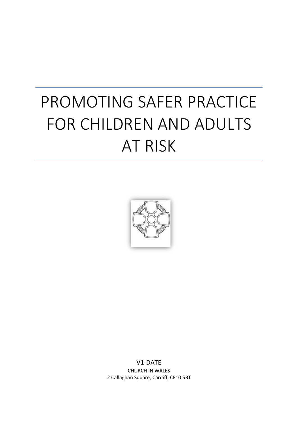# PROMOTING SAFER PRACTICE FOR CHILDREN AND ADULTS AT RISK



V1-DATE CHURCH IN WALES 2 Callaghan Square, Cardiff, CF10 5BT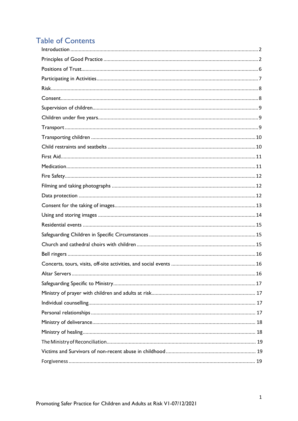# **Table of Contents**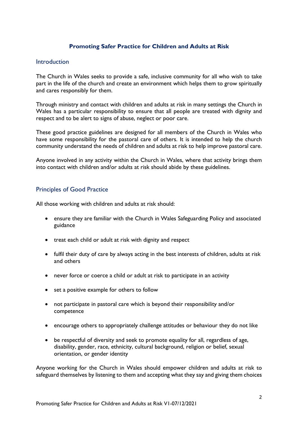#### **Promoting Safer Practice for Children and Adults at Risk**

#### <span id="page-2-0"></span>**Introduction**

The Church in Wales seeks to provide a safe, inclusive community for all who wish to take part in the life of the church and create an environment which helps them to grow spiritually and cares responsibly for them.

Through ministry and contact with children and adults at risk in many settings the Church in Wales has a particular responsibility to ensure that all people are treated with dignity and respect and to be alert to signs of abuse, neglect or poor care.

These good practice guidelines are designed for all members of the Church in Wales who have some responsibility for the pastoral care of others. It is intended to help the church community understand the needs of children and adults at risk to help improve pastoral care.

Anyone involved in any activity within the Church in Wales, where that activity brings them into contact with children and/or adults at risk should abide by these guidelines.

#### <span id="page-2-1"></span>Principles of Good Practice

All those working with children and adults at risk should:

- ensure they are familiar with the Church in Wales Safeguarding Policy and associated guidance
- treat each child or adult at risk with dignity and respect
- fulfil their duty of care by always acting in the best interests of children, adults at risk and others
- never force or coerce a child or adult at risk to participate in an activity
- set a positive example for others to follow
- not participate in pastoral care which is beyond their responsibility and/or competence
- encourage others to appropriately challenge attitudes or behaviour they do not like
- be respectful of diversity and seek to promote equality for all, regardless of age, disability, gender, race, ethnicity, cultural background, religion or belief, sexual orientation, or gender identity

Anyone working for the Church in Wales should empower children and adults at risk to safeguard themselves by listening to them and accepting what they say and giving them choices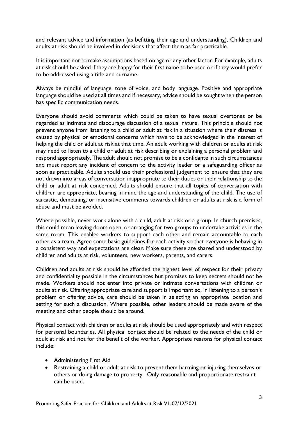and relevant advice and information (as befitting their age and understanding). Children and adults at risk should be involved in decisions that affect them as far practicable.

It is important not to make assumptions based on age or any other factor. For example, adults at risk should be asked if they are happy for their first name to be used or if they would prefer to be addressed using a title and surname.

Always be mindful of language, tone of voice, and body language. Positive and appropriate language should be used at all times and if necessary, advice should be sought when the person has specific communication needs.

Everyone should avoid comments which could be taken to have sexual overtones or be regarded as intimate and discourage discussion of a sexual nature. This principle should not prevent anyone from listening to a child or adult at risk in a situation where their distress is caused by physical or emotional concerns which have to be acknowledged in the interest of helping the child or adult at risk at that time. An adult working with children or adults at risk may need to listen to a child or adult at risk describing or explaining a personal problem and respond appropriately. The adult should not promise to be a confidante in such circumstances and must report any incident of concern to the activity leader or a safeguarding officer as soon as practicable. Adults should use their professional judgement to ensure that they are not drawn into areas of conversation inappropriate to their duties or their relationship to the child or adult at risk concerned. Adults should ensure that all topics of conversation with children are appropriate, bearing in mind the age and understanding of the child. The use of sarcastic, demeaning, or insensitive comments towards children or adults at risk is a form of abuse and must be avoided.

Where possible, never work alone with a child, adult at risk or a group. In church premises, this could mean leaving doors open, or arranging for two groups to undertake activities in the same room. This enables workers to support each other and remain accountable to each other as a team. Agree some basic guidelines for each activity so that everyone is behaving in a consistent way and expectations are clear. Make sure these are shared and understood by children and adults at risk, volunteers, new workers, parents, and carers.

Children and adults at risk should be afforded the highest level of respect for their privacy and confidentiality possible in the circumstances but promises to keep secrets should not be made. Workers should not enter into private or intimate conversations with children or adults at risk. Offering appropriate care and support is important so, in listening to a person's problem or offering advice, care should be taken in selecting an appropriate location and setting for such a discussion. Where possible, other leaders should be made aware of the meeting and other people should be around.

Physical contact with children or adults at risk should be used appropriately and with respect for personal boundaries. All physical contact should be related to the needs of the child or adult at risk and not for the benefit of the worker. Appropriate reasons for physical contact include:

- Administering First Aid
- Restraining a child or adult at risk to prevent them harming or injuring themselves or others or doing damage to property. Only reasonable and proportionate restraint can be used.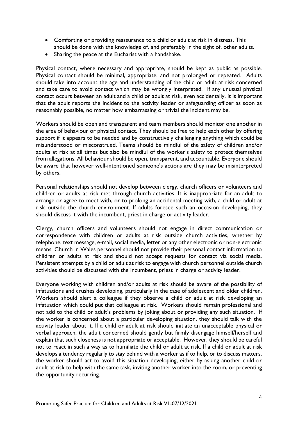- Comforting or providing reassurance to a child or adult at risk in distress. This should be done with the knowledge of, and preferably in the sight of, other adults.
- Sharing the peace at the Eucharist with a handshake.

Physical contact, where necessary and appropriate, should be kept as public as possible. Physical contact should be minimal, appropriate, and not prolonged or repeated. Adults should take into account the age and understanding of the child or adult at risk concerned and take care to avoid contact which may be wrongly interpreted. If any unusual physical contact occurs between an adult and a child or adult at risk, even accidentally, it is important that the adult reports the incident to the activity leader or safeguarding officer as soon as reasonably possible, no matter how embarrassing or trivial the incident may be.

Workers should be open and transparent and team members should monitor one another in the area of behaviour or physical contact. They should be free to help each other by offering support if it appears to be needed and by constructively challenging anything which could be misunderstood or misconstrued. Teams should be mindful of the safety of children and/or adults at risk at all times but also be mindful of the worker's safety to protect themselves from allegations. All behaviour should be open, transparent, and accountable. Everyone should be aware that however well-intentioned someone's actions are they may be misinterpreted by others.

Personal relationships should not develop between clergy, church officers or volunteers and children or adults at risk met through church activities. It is inappropriate for an adult to arrange or agree to meet with, or to prolong an accidental meeting with, a child or adult at risk outside the church environment. If adults foresee such an occasion developing, they should discuss it with the incumbent, priest in charge or activity leader.

Clergy, church officers and volunteers should not engage in direct communication or correspondence with children or adults at risk outside church activities, whether by telephone, text message, e-mail, social media, letter or any other electronic or non-electronic means. Church in Wales personnel should not provide their personal contact information to children or adults at risk and should not accept requests for contact via social media. Persistent attempts by a child or adult at risk to engage with church personnel outside church activities should be discussed with the incumbent, priest in charge or activity leader.

Everyone working with children and/or adults at risk should be aware of the possibility of infatuations and crushes developing, particularly in the case of adolescent and older children. Workers should alert a colleague if they observe a child or adult at risk developing an infatuation which could put that colleague at risk. Workers should remain professional and not add to the child or adult's problems by joking about or providing any such situation. If the worker is concerned about a particular developing situation, they should talk with the activity leader about it. If a child or adult at risk should initiate an unacceptable physical or verbal approach, the adult concerned should gently but firmly disengage himself/herself and explain that such closeness is not appropriate or acceptable. However, they should be careful not to react in such a way as to humiliate the child or adult at risk. If a child or adult at risk develops a tendency regularly to stay behind with a worker as if to help, or to discuss matters, the worker should act to avoid this situation developing, either by asking another child or adult at risk to help with the same task, inviting another worker into the room, or preventing the opportunity recurring.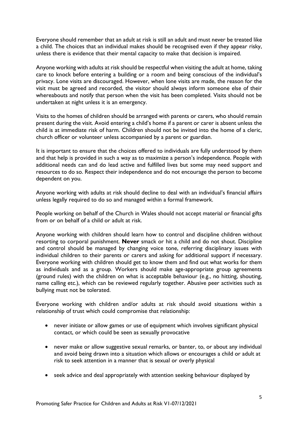Everyone should remember that an adult at risk is still an adult and must never be treated like a child. The choices that an individual makes should be recognised even if they appear risky, unless there is evidence that their mental capacity to make that decision is impaired.

Anyone working with adults at risk should be respectful when visiting the adult at home, taking care to knock before entering a building or a room and being conscious of the individual's privacy. Lone visits are discouraged. However, when lone visits are made, the reason for the visit must be agreed and recorded, the visitor should always inform someone else of their whereabouts and notify that person when the visit has been completed. Visits should not be undertaken at night unless it is an emergency.

Visits to the homes of children should be arranged with parents or carers, who should remain present during the visit. Avoid entering a child's home if a parent or carer is absent unless the child is at immediate risk of harm. Children should not be invited into the home of a cleric, church officer or volunteer unless accompanied by a parent or guardian.

It is important to ensure that the choices offered to individuals are fully understood by them and that help is provided in such a way as to maximize a person's independence. People with additional needs can and do lead active and fulfilled lives but some may need support and resources to do so. Respect their independence and do not encourage the person to become dependent on you.

Anyone working with adults at risk should decline to deal with an individual's financial affairs unless legally required to do so and managed within a formal framework.

People working on behalf of the Church in Wales should not accept material or financial gifts from or on behalf of a child or adult at risk.

Anyone working with children should learn how to control and discipline children without resorting to corporal punishment. **Never** smack or hit a child and do not shout. Discipline and control should be managed by changing voice tone, referring disciplinary issues with individual children to their parents or carers and asking for additional support if necessary. Everyone working with children should get to know them and find out what works for them as individuals and as a group. Workers should make age-appropriate group agreements (ground rules) with the children on what is acceptable behaviour (e.g., no hitting, shouting, name calling etc.), which can be reviewed regularly together. Abusive peer activities such as bullying must not be tolerated.

Everyone working with children and/or adults at risk should avoid situations within a relationship of trust which could compromise that relationship:

- never initiate or allow games or use of equipment which involves significant physical contact, or which could be seen as sexually provocative
- never make or allow suggestive sexual remarks, or banter, to, or about any individual and avoid being drawn into a situation which allows or encourages a child or adult at risk to seek attention in a manner that is sexual or overly physical
- seek advice and deal appropriately with attention seeking behaviour displayed by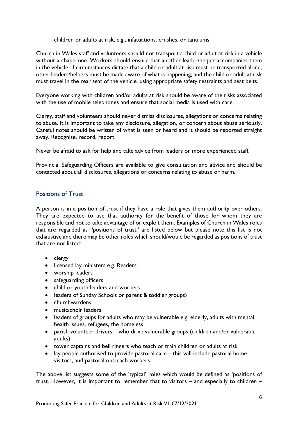children or adults at risk, e.g., infatuations, crushes, or tantrums

Church in Wales staff and volunteers should not transport a child or adult at risk in a vehicle without a chaperone. Workers should ensure that another leader/helper accompanies them in the vehicle. If circumstances dictate that a child or adult at risk must be transported alone, other leaders/helpers must be made aware of what is happening, and the child or adult at risk must travel in the rear seat of the vehicle, using appropriate safety restraints and seat belts.

Everyone working with children and/or adults at risk should be aware of the risks associated with the use of mobile telephones and ensure that social media is used with care.

Clergy, staff and volunteers should never dismiss disclosures, allegations or concerns relating to abuse. It is important to take any disclosure, allegation, or concern about abuse seriously. Careful notes should be written of what is seen or heard and it should be reported straight away. Recognise, record, report.

Never be afraid to ask for help and take advice from leaders or more experienced staff.

Provincial Safeguarding Officers are available to give consultation and advice and should be contacted about all disclosures, allegations or concerns relating to abuse or harm.

# <span id="page-6-0"></span>Positions of Trust

A person is in a position of trust if they have a role that gives them authority over others. They are expected to use that authority for the benefit of those for whom they are responsible and not to take advantage of or exploit them. Examples of Church in Wales roles that are regarded as "positions of trust" are listed below but please note this list is not exhaustive and there may be other roles which should/would be regarded as positions of trust that are not listed:

- clergy
- licensed lay ministers e.g. Readers
- worship leaders
- safeguarding officers
- child or youth leaders and workers
- leaders of Sunday Schools or parent & toddler groups)
- churchwardens
- music/choir leaders
- leaders of groups for adults who may be vulnerable e.g. elderly, adults with mental health issues, refugees, the homeless
- parish volunteer drivers who drive vulnerable groups (children and/or vulnerable adults)
- tower captains and bell ringers who teach or train children or adults at risk
- lay people authorised to provide pastoral care this will include pastoral home visitors, and pastoral outreach workers.

The above list suggests some of the 'typical' roles which would be defined as 'positions of trust. However, it is important to remember that to visitors – and especially to children –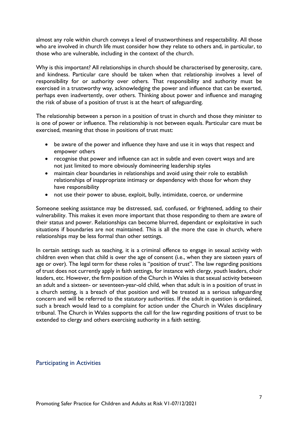almost any role within church conveys a level of trustworthiness and respectability. All those who are involved in church life must consider how they relate to others and, in particular, to those who are vulnerable, including in the context of the church.

Why is this important? All relationships in church should be characterised by generosity, care, and kindness. Particular care should be taken when that relationship involves a level of responsibility for or authority over others. That responsibility and authority must be exercised in a trustworthy way, acknowledging the power and influence that can be exerted, perhaps even inadvertently, over others. Thinking about power and influence and managing the risk of abuse of a position of trust is at the heart of safeguarding.

The relationship between a person in a position of trust in church and those they minister to is one of power or influence. The relationship is not between equals. Particular care must be exercised, meaning that those in positions of trust must:

- be aware of the power and influence they have and use it in ways that respect and empower others
- recognise that power and influence can act in subtle and even covert ways and are not just limited to more obviously domineering leadership styles
- maintain clear boundaries in relationships and avoid using their role to establish relationships of inappropriate intimacy or dependency with those for whom they have responsibility
- not use their power to abuse, exploit, bully, intimidate, coerce, or undermine

Someone seeking assistance may be distressed, sad, confused, or frightened, adding to their vulnerability. This makes it even more important that those responding to them are aware of their status and power. Relationships can become blurred, dependant or exploitative in such situations if boundaries are not maintained. This is all the more the case in church, where relationships may be less formal than other settings.

In certain settings such as teaching, it is a criminal offence to engage in sexual activity with children even when that child is over the age of consent (i.e., when they are sixteen years of age or over). The legal term for these roles is "position of trust". The law regarding positions of trust does not currently apply in faith settings, for instance with clergy, youth leaders, choir leaders, etc. However, the firm position of the Church in Wales is that sexual activity between an adult and a sixteen- or seventeen-year-old child, when that adult is in a position of trust in a church setting, is a breach of that position and will be treated as a serious safeguarding concern and will be referred to the statutory authorities. If the adult in question is ordained, such a breach would lead to a complaint for action under the Church in Wales disciplinary tribunal. The Church in Wales supports the call for the law regarding positions of trust to be extended to clergy and others exercising authority in a faith setting.

#### <span id="page-7-0"></span>Participating in Activities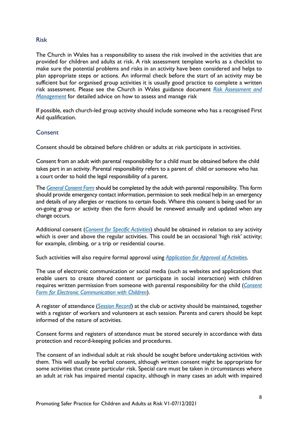#### <span id="page-8-0"></span>Risk

The Church in Wales has a responsibility to assess the risk involved in the activities that are provided for children and adults at risk. A risk assessment template works as a checklist to make sure the potential problems and risks in an activity have been considered and helps to plan appropriate steps or actions. An informal check before the start of an activity may be sufficient but for organised group activities it is usually good practice to complete a written risk assessment. Please see the Church in Wales guidance document *[Risk Assessment and](https://www.churchinwales.org.uk/documents/2799/Risk_Assessment_and_Management.docx)  [Management](https://www.churchinwales.org.uk/documents/2799/Risk_Assessment_and_Management.docx)* for detailed advice on how to assess and manage risk

If possible, each church-led group activity should include someone who has a recognised First Aid qualification.

# <span id="page-8-1"></span>**Consent**

Consent should be obtained before children or adults at risk participate in activities.

Consent from an adult with parental responsibility for a child must be obtained before the child takes part in an activity. Parental responsibility refers to a parent of child or someone who has a court order to hold the legal responsibility of a parent.

The *[General Consent Form](https://www.churchinwales.org.uk/documents/2781/Form_A_-_General_Consent_Form.docx)* should be completed by the adult with parental responsibility. This form should provide emergency contact information, permission to seek medical help in an emergency and details of any allergies or reactions to certain foods. Where this consent is being used for an on-going group or activity then the form should be renewed annually and updated when any change occurs.

Additional consent (*[Consent for Specific Activities](https://www.churchinwales.org.uk/documents/2782/Form_B_-_Consent_form_for_specific_activities.docx)*) should be obtained in relation to any activity which is over and above the regular activities. This could be an occasional 'high risk' activity; for example, climbing, or a trip or residential course.

Such activities will also require formal approval using *[Application for Approval of Activities](https://www.churchinwales.org.uk/documents/2785/Form_E_-_Application_for_Approval_of_Activities.docx)*.

The use of electronic communication or social media (such as websites and applications that enable users to create shared content or participate in social interaction) with children requires written permission from someone with parental responsibility for the child (*[Consent](https://www.churchinwales.org.uk/documents/2784/Form_D_-_Consent_Form_for_Electronic_Communication_with_Children.docx)  [Form for Electronic Communication with Children](https://www.churchinwales.org.uk/documents/2784/Form_D_-_Consent_Form_for_Electronic_Communication_with_Children.docx)*).

A register of attendance (*[Session Record](https://www.churchinwales.org.uk/documents/2786/Form_F_-_Session_Record.docx)*) at the club or activity should be maintained, together with a register of workers and volunteers at each session. Parents and carers should be kept informed of the nature of activities.

Consent forms and registers of attendance must be stored securely in accordance with data protection and record-keeping policies and procedures.

The consent of an individual adult at risk should be sought before undertaking activities with them. This will usually be verbal consent, although written consent might be appropriate for some activities that create particular risk. Special care must be taken in circumstances where an adult at risk has impaired mental capacity, although in many cases an adult with impaired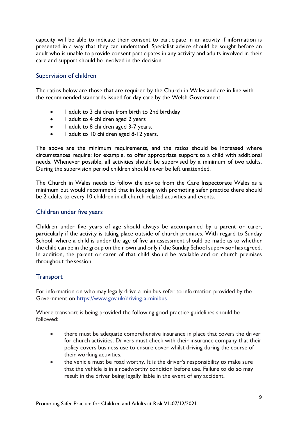capacity will be able to indicate their consent to participate in an activity if information is presented in a way that they can understand. Specialist advice should be sought before an adult who is unable to provide consent participates in any activity and adults involved in their care and support should be involved in the decision.

# <span id="page-9-0"></span>Supervision of children

The ratios below are those that are required by the Church in Wales and are in line with the recommended standards issued for day care by the Welsh Government.

- 1 adult to 3 children from birth to 2nd birthday
- 1 adult to 4 children aged 2 years
- 1 adult to 8 children aged 3-7 years.
- 1 adult to 10 children aged 8-12 years.

The above are the minimum requirements, and the ratios should be increased where circumstances require; for example, to offer appropriate support to a child with additional needs. Whenever possible, all activities should be supervised by a minimum of two adults. During the supervision period children should never be left unattended.

The Church in Wales needs to follow the advice from the Care Inspectorate Wales as a minimum but would recommend that in keeping with promoting safer practice there should be 2 adults to every 10 children in all church related activities and events.

#### <span id="page-9-1"></span>Children under five years

Children under five years of age should always be accompanied by a parent or carer, particularly if the activity is taking place outside of church premises. With regard to Sunday School, where a child is under the age of five an assessment should be made as to whether the child can be in the group on their own and only if the Sunday School supervisor has agreed. In addition, the parent or carer of that child should be available and on church premises throughout the session.

# <span id="page-9-2"></span>**Transport**

For information on who may legally drive a minibus refer to information provided by the Government on https:/[/www.gov.uk/driving-a-minibus](http://www.gov.uk/driving-a-minibus)

Where transport is being provided the following good practice guidelines should be followed:

- there must be adequate comprehensive insurance in place that covers the driver for church activities. Drivers must check with their insurance company that their policy covers business use to ensure cover whilst driving during the course of their working activities.
- the vehicle must be road worthy. It is the driver's responsibility to make sure that the vehicle is in a roadworthy condition before use. Failure to do so may result in the driver being legally liable in the event of any accident.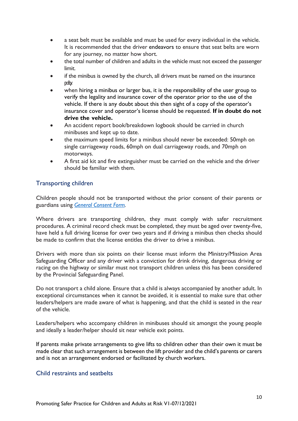- a seat belt must be available and must be used for every individual in the vehicle. It is recommended that the driver endeavors to ensure that seat belts are worn for any journey, no matter how short.
- the total number of children and adults in the vehicle must not exceed the passenger limit.
- if the minibus is owned by the church, all drivers must be named on the insurance policy.
- when hiring a minibus or larger bus, it is the responsibility of the user group to verify the legality and insurance cover of the operator prior to the use of the vehicle. If there is any doubt about this then sight of a copy of the operator's insurance cover and operator's license should be requested. **If in doubt do not drive the vehicle.**
- An accident report book/breakdown logbook should be carried in church minibuses and kept up to date.
- the maximum speed limits for a minibus should never be exceeded: 50mph on single carriageway roads, 60mph on dual carriageway roads, and 70mph on motorways.
- A first aid kit and fire extinguisher must be carried on the vehicle and the driver should be familiar with them.

# <span id="page-10-0"></span>Transporting children

Children people should not be transported without the prior consent of their parents or guardians using *[General Consent Form.](https://www.churchinwales.org.uk/documents/2781/Form_A_-_General_Consent_Form.docx)* 

Where drivers are transporting children, they must comply with safer recruitment procedures. A criminal record check must be completed, they must be aged over twenty-five, have held a full driving license for over two years and if driving a minibus then checks should be made to confirm that the license entitles the driver to drive a minibus.

Drivers with more than six points on their license must inform the Ministry/Mission Area Safeguarding Officer and any driver with a conviction for drink driving, dangerous driving or racing on the highway or similar must not transport children unless this has been considered by the Provincial Safeguarding Panel.

Do not transport a child alone. Ensure that a child is always accompanied by another adult. In exceptional circumstances when it cannot be avoided, it is essential to make sure that other leaders/helpers are made aware of what is happening, and that the child is seated in the rear of the vehicle.

Leaders/helpers who accompany children in minibuses should sit amongst the young people and ideally a leader/helper should sit near vehicle exit points.

If parents make private arrangements to give lifts to children other than their own it must be made clear that such arrangement is between the lift provider and the child's parents or carers and is not an arrangement endorsed or facilitated by church workers.

#### <span id="page-10-1"></span>Child restraints and seatbelts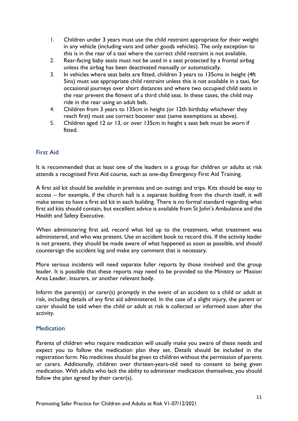- 1. Children under 3 years must use the child restraint appropriate for their weight in any vehicle (including vans and other goods vehicles). The only exception to this is in the rear of a taxi where the correct child restraint is not available.
- 2. Rear-facing baby seats must not be used in a seat protected by a frontal airbag unless the airbag has been deactivated manually or automatically.
- 3. In vehicles where seat belts are fitted, children 3 years to 135cms in height (4ft 5ins) must use appropriate child restraint unless this is not available in a taxi, for occasional journeys over short distances and where two occupied child seats in the rear prevent the fitment of a third child seat. In these cases, the child may ride in the rear using an adult belt.
- 4. Children from 3 years to 135cm in height (or 12th birthday whichever they reach first) must use correct booster seat (same exemptions as above).
- 5. Children aged 12 or 13, or over 135cm in height a seat belt must be worn if fitted.

# <span id="page-11-0"></span>First Aid

It is recommended that at least one of the leaders in a group for children or adults at risk attends a recognised First Aid course, such as one-day Emergency First Aid Training.

A first aid kit should be available in premises and on outings and trips. Kits should be easy to access – for example, if the church hall is a separate building from the church itself, it will make sense to have a first aid kit in each building. There is no formal standard regarding what first aid kits should contain, but excellent advice is available from St John's Ambulance and the Health and Safety Executive.

When administering first aid, record what led up to the treatment, what treatment was administered, and who was present. Use an accident book to record this. If the activity leader is not present, they should be made aware of what happened as soon as possible, and should countersign the accident log and make any comment that is necessary.

More serious incidents will need separate fuller reports by those involved and the group leader. It is possible that these reports may need to be provided to the Ministry or Mission Area Leader, insurers, or another relevant body.

Inform the parent(s) or carer(s) promptly in the event of an accident to a child or adult at risk, including details of any first aid administered. In the case of a slight injury, the parent or carer should be told when the child or adult at risk is collected or informed soon after the activity.

#### <span id="page-11-1"></span>**Medication**

Parents of children who require medication will usually make you aware of these needs and expect you to follow the medication plan they set. Details should be included in the registration form. No medicines should be given to children without the permission of parents or carers. Additionally, children over thirteen-years-old need to consent to being given medication. With adults who lack the ability to administer medication themselves, you should follow the plan agreed by their carer(s).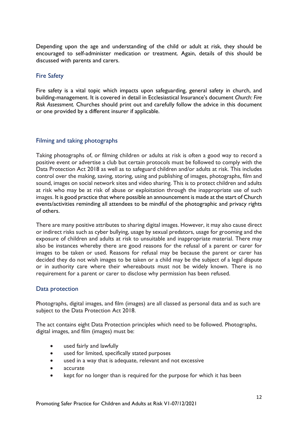Depending upon the age and understanding of the child or adult at risk, they should be encouraged to self-administer medication or treatment. Again, details of this should be discussed with parents and carers.

#### <span id="page-12-0"></span>Fire Safety

Fire safety is a vital topic which impacts upon safeguarding, general safety in church, and building-management. It is covered in detail in Ecclesiastical Insurance's document *Church: Fire Risk Assessment.* Churches should print out and carefully follow the advice in this document or one provided by a different insurer if applicable.

#### <span id="page-12-1"></span>Filming and taking photographs

Taking photographs of, or filming children or adults at risk is often a good way to record a positive event or advertise a club but certain protocols must be followed to comply with the Data Protection Act 2018 as well as to safeguard children and/or adults at risk. This includes control over the making, saving, storing, using and publishing of images, photographs, film and sound, images on social network sites and video sharing. This is to protect children and adults at risk who may be at risk of abuse or exploitation through the inappropriate use of such images. It is good practice that where possible an announcement is made at the start of Church events/activities reminding all attendees to be mindful of the photographic and privacy rights of others.

There are many positive attributes to sharing digital images. However, it may also cause direct or indirect risks such as cyber bullying, usage by sexual predators, usage for grooming and the exposure of children and adults at risk to unsuitable and inappropriate material. There may also be instances whereby there are good reasons for the refusal of a parent or carer for images to be taken or used. Reasons for refusal may be because the parent or carer has decided they do not wish images to be taken or a child may be the subject of a legal dispute or in authority care where their whereabouts must not be widely known. There is no requirement for a parent or carer to disclose why permission has been refused.

# <span id="page-12-2"></span>Data protection

Photographs, digital images, and film (images) are all classed as personal data and as such are subject to the Data Protection Act 2018.

The act contains eight Data Protection principles which need to be followed. Photographs, digital images, and film (images) must be:

- used fairly and lawfully
- used for limited, specifically stated purposes
- used in a way that is adequate, relevant and not excessive
- accurate
- kept for no longer than is required for the purpose for which it has been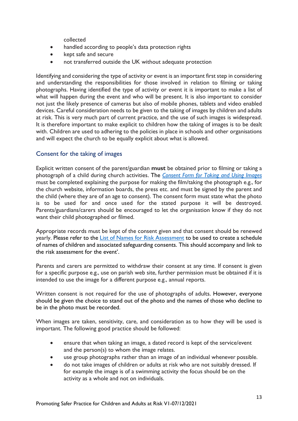collected

- handled according to people's data protection rights
- kept safe and secure
- not transferred outside the UK without adequate protection

Identifying and considering the type of activity or event is an important first step in considering and understanding the responsibilities for those involved in relation to filming or taking photographs. Having identified the type of activity or event it is important to make a list of what will happen during the event and who will be present. It is also important to consider not just the likely presence of cameras but also of mobile phones, tablets and video enabled devices. Careful consideration needs to be given to the taking of images by children and adults at risk. This is very much part of current practice, and the use of such images is widespread. It is therefore important to make explicit to children how the taking of images is to be dealt with. Children are used to adhering to the policies in place in schools and other organisations and will expect the church to be equally explicit about what is allowed.

# <span id="page-13-0"></span>Consent for the taking of images

Explicit written consent of the parent/guardian **must** be obtained prior to filming or taking a photograph of a child during church activities. The *[Consent Form for Taking and Using Images](https://www.churchinwales.org.uk/documents/2783/Form_C_-_Consent_Form_for_Taking_and_Using_Images.docx)* must be completed explaining the purpose for making the film/taking the photograph e.g., for the church website, information boards, the press etc. and must be signed by the parent and the child (where they are of an age to consent). The consent form must state what the photo is to be used for and once used for the stated purpose it will be destroyed. Parents/guardians/carers should be encouraged to let the organisation know if they do not want their child photographed or filmed.

Appropriate records must be kept of the consent given and that consent should be renewed yearly. Please refer to the [List of Names for Risk Assessment](https://www.churchinwales.org.uk/documents/2793/Form_M_-_List_of_Children_with_the_Associated_Completed_Safegaurding_Conset_F_FgbVZtl.docx) to be used to create a schedule of names of children and associated safeguarding consents. This should accompany and link to the risk assessment for the event'.

Parents and carers are permitted to withdraw their consent at any time. If consent is given for a specific purpose e.g., use on parish web site, further permission must be obtained if it is intended to use the image for a different purpose e.g., annual reports.

Written consent is not required for the use of photographs of adults. However, everyone should be given the choice to stand out of the photo and the names of those who decline to be in the photo must be recorded.

When images are taken, sensitivity, care, and consideration as to how they will be used is important. The following good practice should be followed:

- ensure that when taking an image, a dated record is kept of the service/event and the person(s) to whom the image relates.
- use group photographs rather than an image of an individual whenever possible.
- do not take images of children or adults at risk who are not suitably dressed. If for example the image is of a swimming activity the focus should be on the activity as a whole and not on individuals.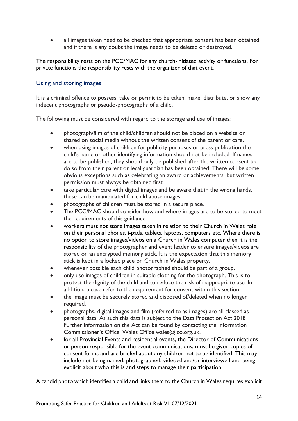all images taken need to be checked that appropriate consent has been obtained and if there is any doubt the image needs to be deleted or destroyed.

The responsibility rests on the PCC/MAC for any church-initiated activity or functions. For private functions the responsibility rests with the organizer of that event.

#### <span id="page-14-0"></span>Using and storing images

It is a criminal offence to possess, take or permit to be taken, make, distribute, or show any indecent photographs or pseudo-photographs of a child.

The following must be considered with regard to the storage and use of images:

- photograph/film of the child/children should not be placed on a website or shared on social media without the written consent of the parent or care.
- when using images of children for publicity purposes or press publication the child's name or other identifying information should not be included. If names are to be published, they should only be published after the written consent to do so from their parent or legal guardian has been obtained. There will be some obvious exceptions such as celebrating an award or achievements, but written permission must always be obtained first.
- take particular care with digital images and be aware that in the wrong hands, these can be manipulated for child abuse images.
- photographs of children must be stored in a secure place.
- The PCC/MAC should consider how and where images are to be stored to meet the requirements of this guidance.
- workers must not store images taken in relation to their Church in Wales role on their personal phones, i-pads, tablets, laptops, computers etc. Where there is no option to store images/videos on a Church in Wales computer then it is the responsibility of the photographer and event leader to ensure images/videos are stored on an encrypted memory stick. It is the expectation that this memory stick is kept in a locked place on Church in Wales property.
- whenever possible each child photographed should be part of a group.
- only use images of children in suitable clothing for the photograph. This is to protect the dignity of the child and to reduce the risk of inappropriate use. In addition, please refer to the requirement for consent within this section.
- the image must be securely stored and disposed of/deleted when no longer required.
- photographs, digital images and film (referred to as images) are all classed as personal data. As such this data is subject to the Data Protection Act 2018 Further information on the Act can be found by contacting the Information Commissioner's Office: Wales Office wales@ico.org.uk.
- for all Provincial Events and residential events, the Director of Communications or person responsible for the event communications, must be given copies of consent forms and are briefed about any children not to be identified. This may include not being named, photographed, videoed and/or interviewed and being explicit about who this is and steps to manage their participation.

A candid photo which identifies a child and links them to the Church in Wales requires explicit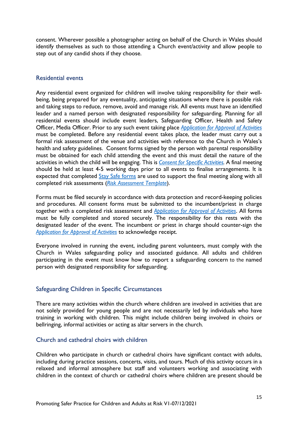consent. Wherever possible a photographer acting on behalf of the Church in Wales should identify themselves as such to those attending a Church event/activity and allow people to step out of any candid shots if they choose.

#### <span id="page-15-0"></span>Residential events

Any residential event organized for children will involve taking responsibility for their wellbeing, being prepared for any eventuality, anticipating situations where there is possible risk and taking steps to reduce, remove, avoid and manage risk. All events must have an identified leader and a named person with designated responsibility for safeguarding. Planning for all residential events should include event leaders, Safeguarding Officer, Health and Safety Officer, Media Officer. Prior to any such event taking place *[Application for Approval of Activities](https://www.churchinwales.org.uk/documents/2785/Form_E_-_Application_for_Approval_of_Activities.docx)* must be completed. Before any residential event takes place, the leader must carry out a formal risk assessment of the venue and activities with reference to the Church in Wales's health and safety guidelines. Consent forms signed by the person with parental responsibility must be obtained for each child attending the event and this must detail the nature of the activities in which the child will be engaging. This is *[Consent for Specific Activities.](https://www.churchinwales.org.uk/documents/2782/Form_B_-_Consent_form_for_specific_activities.docx)* A final meeting should be held at least 4-5 working days prior to all events to finalise arrangements. It is expected that completed [Stay Safe forms](https://www.churchinwales.org.uk/documents/2793/Form_M_-_List_of_Children_with_the_Associated_Completed_Safegaurding_Conset_F_FgbVZtl.docx) are used to support the final meeting along with all completed risk assessments (*[Risk Assessment Template](https://www.churchinwales.org.uk/documents/2799/Risk_Assessment_and_Management.docx)*).

Forms must be filed securely in accordance with data protection and record-keeping policies and procedures. All consent forms must be submitted to the incumbent/priest in charge together with a completed risk assessment and *[Application for Approval of Activities](https://www.churchinwales.org.uk/documents/2785/Form_E_-_Application_for_Approval_of_Activities.docx)*. All forms must be fully completed and stored securely. The responsibility for this rests with the designated leader of the event. The incumbent or priest in charge should counter-sign the *[Application for Approval of Activities](https://www.churchinwales.org.uk/documents/2785/Form_E_-_Application_for_Approval_of_Activities.docx)* to acknowledge receipt.

Everyone involved in running the event, including parent volunteers, must comply with the Church in Wales safeguarding policy and associated guidance. All adults and children participating in the event must know how to report a safeguarding concern to the named person with designated responsibility for safeguarding.

#### <span id="page-15-1"></span>Safeguarding Children in Specific Circumstances

There are many activities within the church where children are involved in activities that are not solely provided for young people and are not necessarily led by individuals who have training in working with children. This might include children being involved in choirs or bellringing, informal activities or acting as altar servers in the church.

#### <span id="page-15-2"></span>Church and cathedral choirs with children

Children who participate in church or cathedral choirs have significant contact with adults, including during practice sessions, concerts, visits, and tours. Much of this activity occurs in a relaxed and informal atmosphere but staff and volunteers working and associating with children in the context of church or cathedral choirs where children are present should be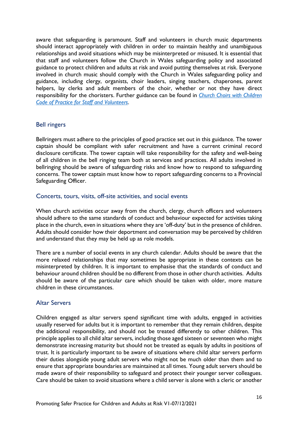aware that safeguarding is paramount. Staff and volunteers in church music departments should interact appropriately with children in order to maintain healthy and unambiguous relationships and avoid situations which may be misinterpreted or misused. It is essential that that staff and volunteers follow the Church in Wales safeguarding policy and associated guidance to protect children and adults at risk and avoid putting themselves at risk. Everyone involved in church music should comply with the Church in Wales safeguarding policy and guidance, including clergy, organists, choir leaders, singing teachers, chaperones, parent helpers, lay clerks and adult members of the choir, whether or not they have direct responsibility for the choristers. Further guidance can be found in *[Church Choirs with Children](https://www.churchinwales.org.uk/documents/2779/Church_Choirs_with_Children_Code_of_Practice_for_Staff_and_Volunteers.pdf)  [Code of Practice for Staff and Volunteers](https://www.churchinwales.org.uk/documents/2779/Church_Choirs_with_Children_Code_of_Practice_for_Staff_and_Volunteers.pdf)*.

#### <span id="page-16-0"></span>Bell ringers

Bellringers must adhere to the principles of good practice set out in this guidance. The tower captain should be compliant with safer recruitment and have a current criminal record disclosure certificate. The tower captain will take responsibility for the safety and well-being of all children in the bell ringing team both at services and practices. All adults involved in bellringing should be aware of safeguarding risks and know how to respond to safeguarding concerns. The tower captain must know how to report safeguarding concerns to a Provincial Safeguarding Officer.

#### <span id="page-16-1"></span>Concerts, tours, visits, off-site activities, and social events

When church activities occur away from the church, clergy, church officers and volunteers should adhere to the same standards of conduct and behaviour expected for activities taking place in the church, even in situations where they are 'off-duty' but in the presence of children. Adults should consider how their deportment and conversation may be perceived by children and understand that they may be held up as role models.

There are a number of social events in any church calendar. Adults should be aware that the more relaxed relationships that may sometimes be appropriate in these contexts can be misinterpreted by children. It is important to emphasise that the standards of conduct and behaviour around children should be no different from those in other church activities. Adults should be aware of the particular care which should be taken with older, more mature children in these circumstances.

#### <span id="page-16-2"></span>Altar Servers

Children engaged as altar servers spend significant time with adults, engaged in activities usually reserved for adults but it is important to remember that they remain children, despite the additional responsibility, and should not be treated differently to other children. This principle applies to all child altar servers, including those aged sixteen or seventeen who might demonstrate increasing maturity but should not be treated as equals by adults in positions of trust. It is particularly important to be aware of situations where child altar servers perform their duties alongside young adult servers who might not be much older than them and to ensure that appropriate boundaries are maintained at all times. Young adult servers should be made aware of their responsibility to safeguard and protect their younger server colleagues. Care should be taken to avoid situations where a child server is alone with a cleric or another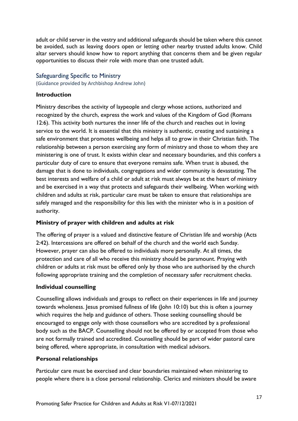adult or child server in the vestry and additional safeguards should be taken where this cannot be avoided, such as leaving doors open or letting other nearby trusted adults know. Child altar servers should know how to report anything that concerns them and be given regular opportunities to discuss their role with more than one trusted adult.

#### <span id="page-17-0"></span>Safeguarding Specific to Ministry

(Guidance provided by Archbishop Andrew John)

#### **Introduction**

Ministry describes the activity of laypeople and clergy whose actions, authorized and recognized by the church, express the work and values of the Kingdom of God (Romans 12:6). This activity both nurtures the inner life of the church and reaches out in loving service to the world. It is essential that this ministry is authentic, creating and sustaining a safe environment that promotes wellbeing and helps all to grow in their Christian faith. The relationship between a person exercising any form of ministry and those to whom they are ministering is one of trust. It exists within clear and necessary boundaries, and this confers a particular duty of care to ensure that everyone remains safe. When trust is abused, the damage that is done to individuals, congregations and wider community is devastating. The best interests and welfare of a child or adult at risk must always be at the heart of ministry and be exercised in a way that protects and safeguards their wellbeing. When working with children and adults at risk, particular care must be taken to ensure that relationships are safely managed and the responsibility for this lies with the minister who is in a position of authority.

#### **Ministry of prayer with children and adults at risk**

The offering of prayer is a valued and distinctive feature of Christian life and worship (Acts 2:42). Intercessions are offered on behalf of the church and the world each Sunday. However, prayer can also be offered to individuals more personally. At all times, the protection and care of all who receive this ministry should be paramount. Praying with children or adults at risk must be offered only by those who are authorised by the church following appropriate training and the completion of necessary safer recruitment checks.

#### **Individual counselling**

Counselling allows individuals and groups to reflect on their experiences in life and journey towards wholeness. Jesus promised fullness of life (John 10:10) but this is often a journey which requires the help and guidance of others. Those seeking counselling should be encouraged to engage only with those counsellors who are accredited by a professional body such as the BACP. Counselling should not be offered by or accepted from those who are not formally trained and accredited. Counselling should be part of wider pastoral care being offered, where appropriate, in consultation with medical advisors.

#### **Personal relationships**

Particular care must be exercised and clear boundaries maintained when ministering to people where there is a close personal relationship. Clerics and ministers should be aware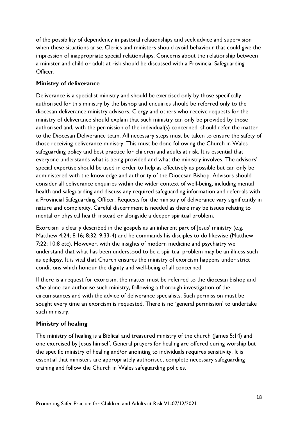of the possibility of dependency in pastoral relationships and seek advice and supervision when these situations arise. Clerics and ministers should avoid behaviour that could give the impression of inappropriate special relationships. Concerns about the relationship between a minister and child or adult at risk should be discussed with a Provincial Safeguarding Officer.

# **Ministry of deliverance**

Deliverance is a specialist ministry and should be exercised only by those specifically authorised for this ministry by the bishop and enquiries should be referred only to the diocesan deliverance ministry advisors. Clergy and others who receive requests for the ministry of deliverance should explain that such ministry can only be provided by those authorised and, with the permission of the individual(s) concerned, should refer the matter to the Diocesan Deliverance team. All necessary steps must be taken to ensure the safety of those receiving deliverance ministry. This must be done following the Church in Wales safeguarding policy and best practice for children and adults at risk. It is essential that everyone understands what is being provided and what the ministry involves. The advisors' special expertise should be used in order to help as effectively as possible but can only be administered with the knowledge and authority of the Diocesan Bishop. Advisors should consider all deliverance enquiries within the wider context of well-being, including mental health and safeguarding and discuss any required safeguarding information and referrals with a Provincial Safeguarding Officer. Requests for the ministry of deliverance vary significantly in nature and complexity. Careful discernment is needed as there may be issues relating to mental or physical health instead or alongside a deeper spiritual problem.

Exorcism is clearly described in the gospels as an inherent part of Jesus' ministry (e.g. Matthew 4:24; 8:16; 8:32; 9:33-4) and he commands his disciples to do likewise (Matthew 7:22; 10:8 etc). However, with the insights of modern medicine and psychiatry we understand that what has been understood to be a spiritual problem may be an illness such as epilepsy. It is vital that Church ensures the ministry of exorcism happens under strict conditions which honour the dignity and well-being of all concerned.

If there is a request for exorcism, the matter must be referred to the diocesan bishop and s/he alone can authorise such ministry, following a thorough investigation of the circumstances and with the advice of deliverance specialists. Such permission must be sought every time an exorcism is requested. There is no 'general permission' to undertake such ministry.

#### **Ministry of healing**

The ministry of healing is a Biblical and treasured ministry of the church (James 5:14) and one exercised by Jesus himself. General prayers for healing are offered during worship but the specific ministry of healing and/or anointing to individuals requires sensitivity. It is essential that ministers are appropriately authorised, complete necessary safeguarding training and follow the Church in Wales safeguarding policies.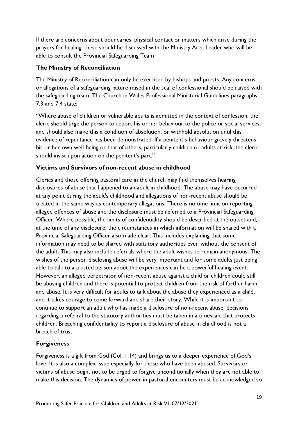If there are concerns about boundaries, physical contact or matters which arise during the prayers for healing, these should be discussed with the Ministry Area Leader who will be able to consult the Provincial Safeguarding Team

#### **The Ministry of Reconciliation**

The Ministry of Reconciliation can only be exercised by bishops and priests. Any concerns or allegations of a safeguarding nature raised in the seal of confessional should be raised with the safeguarding team. The Church in Wales Professional Ministerial Guidelines paragraphs 7.3 and 7.4 state:

"Where abuse of children or vulnerable adults is admitted in the context of confession, the cleric should urge the person to report his or her behaviour to the police or social services, and should also make this a condition of absolution, or withhold absolution until this evidence of repentance has been demonstrated. If a penitent's behaviour gravely threatens his or her own well-being or that of others, particularly children or adults at risk, the cleric should insist upon action on the penitent's part."

# **Victims and Survivors of non-recent abuse in childhood**

Clerics and those offering pastoral care in the church may find themselves hearing disclosures of abuse that happened to an adult in childhood. The abuse may have occurred at any point during the adult's childhood and allegations of non-recent abuse should be treated in the same way as contemporary allegations. There is no time limit on reporting alleged offences of abuse and the disclosure must be referred to a Provincial Safeguarding Officer. Where possible, the limits of confidentiality should be described at the outset and, at the time of any disclosure, the circumstances in which information will be shared with a Provincial Safeguarding Officer also made clear. This includes explaining that some information may need to be shared with statutory authorities even without the consent of the adult. This may also include referrals where the adult wishes to remain anonymous. The wishes of the person disclosing abuse will be very important and for some adults just being able to talk to a trusted person about the experiences can be a powerful healing event. However, an alleged perpetrator of non-recent abuse against a child or children could still be abusing children and there is potential to protect children from the risk of further harm and abuse. It is very difficult for adults to talk about the abuse they experienced as a child, and it takes courage to come forward and share their story. While it is important to continue to support an adult who has made a disclosure of non-recent abuse, decisions regarding a referral to the statutory authorities must be taken in a timescale that protects children. Breaching confidentiality to report a disclosure of abuse in childhood is not a breach of trust.

# **Forgiveness**

Forgiveness is a gift from God (Col. 1:14) and brings us to a deeper experience of God's love. It is also a complex issue especially for those who have been abused. Survivors or victims of abuse ought not to be urged to forgive unconditionally when they are not able to make this decision. The dynamics of power in pastoral encounters must be acknowledged so